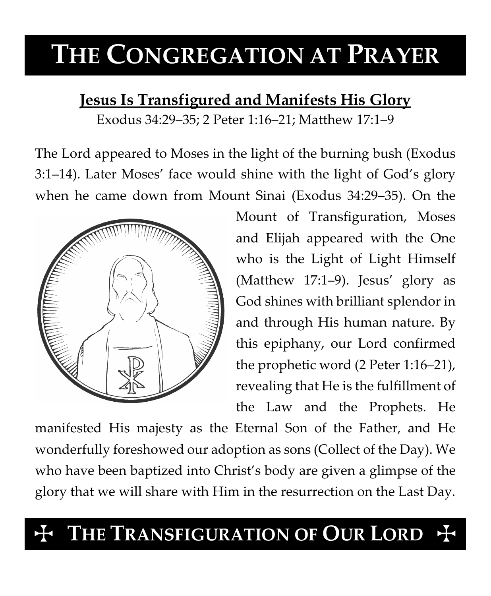# **THE CONGREGATION AT PRAYER**

### **Jesus Is Transfigured and Manifests His Glory**

Exodus 34:29–35; 2 Peter 1:16–21; Matthew 17:1–9

The Lord appeared to Moses in the light of the burning bush (Exodus 3:1–14). Later Moses' face would shine with the light of God's glory when he came down from Mount Sinai (Exodus 34:29–35). On the



Mount of Transfiguration, Moses and Elijah appeared with the One who is the Light of Light Himself (Matthew 17:1–9). Jesus' glory as God shines with brilliant splendor in and through His human nature. By this epiphany, our Lord confirmed the prophetic word (2 Peter 1:16–21), revealing that He is the fulfillment of the Law and the Prophets. He

manifested His majesty as the Eternal Son of the Father, and He wonderfully foreshowed our adoption as sons (Collect of the Day). We who have been baptized into Christ's body are given a glimpse of the glory that we will share with Him in the resurrection on the Last Day.

## THE TRANSFIGURATION OF OUR LORD +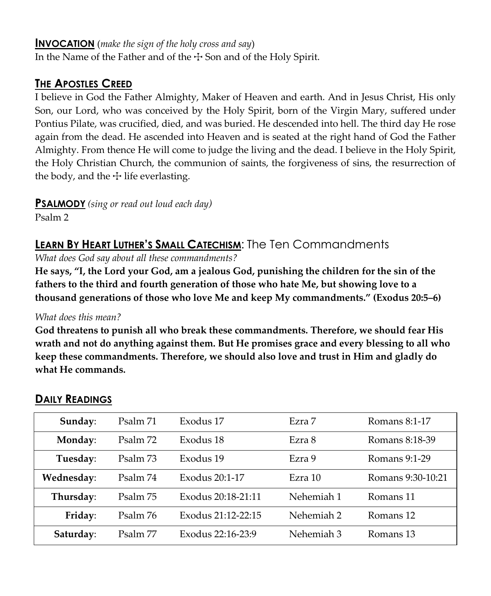#### **INVOCATION** (*make the sign of the holy cross and say*)

In the Name of the Father and of the  $\pm$  Son and of the Holy Spirit.

#### **THE APOSTLES CREED**

I believe in God the Father Almighty, Maker of Heaven and earth. And in Jesus Christ, His only Son, our Lord, who was conceived by the Holy Spirit, born of the Virgin Mary, suffered under Pontius Pilate, was crucified, died, and was buried. He descended into hell. The third day He rose again from the dead. He ascended into Heaven and is seated at the right hand of God the Father Almighty. From thence He will come to judge the living and the dead. I believe in the Holy Spirit, the Holy Christian Church, the communion of saints, the forgiveness of sins, the resurrection of the body, and the  $\pm$  life everlasting.

**PSALMODY** *(sing or read out loud each day)*

Psalm 2

#### **LEARN BY HEART LUTHER'S SMALL CATECHISM**: The Ten Commandments

*What does God say about all these commandments?*

**He says, "I, the Lord your God, am a jealous God, punishing the children for the sin of the fathers to the third and fourth generation of those who hate Me, but showing love to a thousand generations of those who love Me and keep My commandments." (Exodus 20:5–6)**

#### *What does this mean?*

**God threatens to punish all who break these commandments. Therefore, we should fear His wrath and not do anything against them. But He promises grace and every blessing to all who keep these commandments. Therefore, we should also love and trust in Him and gladly do what He commands.**

| Sunday:    | Psalm 71 | Exodus 17          | Ezra 7     | Romans 8:1-17     |
|------------|----------|--------------------|------------|-------------------|
| Monday:    | Psalm 72 | Exodus 18          | Ezra 8     | Romans 8:18-39    |
| Tuesday:   | Psalm 73 | Exodus 19          | Ezra 9     | Romans 9:1-29     |
| Wednesday: | Psalm 74 | Exodus 20:1-17     | Ezra 10    | Romans 9:30-10:21 |
| Thursday:  | Psalm 75 | Exodus 20:18-21:11 | Nehemiah 1 | Romans 11         |
| Friday:    | Psalm 76 | Exodus 21:12-22:15 | Nehemiah 2 | Romans 12         |
| Saturday:  | Psalm 77 | Exodus 22:16-23:9  | Nehemiah 3 | Romans 13         |

#### **DAILY READINGS**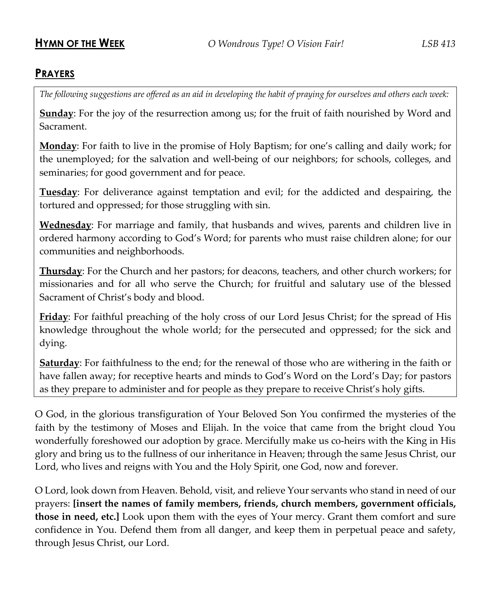#### **PRAYERS**

*The following suggestions are offered as an aid in developing the habit of praying for ourselves and others each week:*

**Sunday**: For the joy of the resurrection among us; for the fruit of faith nourished by Word and Sacrament.

**Monday**: For faith to live in the promise of Holy Baptism; for one's calling and daily work; for the unemployed; for the salvation and well-being of our neighbors; for schools, colleges, and seminaries; for good government and for peace.

**Tuesday**: For deliverance against temptation and evil; for the addicted and despairing, the tortured and oppressed; for those struggling with sin.

**Wednesday**: For marriage and family, that husbands and wives, parents and children live in ordered harmony according to God's Word; for parents who must raise children alone; for our communities and neighborhoods.

**Thursday**: For the Church and her pastors; for deacons, teachers, and other church workers; for missionaries and for all who serve the Church; for fruitful and salutary use of the blessed Sacrament of Christ's body and blood.

**Friday**: For faithful preaching of the holy cross of our Lord Jesus Christ; for the spread of His knowledge throughout the whole world; for the persecuted and oppressed; for the sick and dying.

**Saturday**: For faithfulness to the end; for the renewal of those who are withering in the faith or have fallen away; for receptive hearts and minds to God's Word on the Lord's Day; for pastors as they prepare to administer and for people as they prepare to receive Christ's holy gifts.

O God, in the glorious transfiguration of Your Beloved Son You confirmed the mysteries of the faith by the testimony of Moses and Elijah. In the voice that came from the bright cloud You wonderfully foreshowed our adoption by grace. Mercifully make us co-heirs with the King in His glory and bring us to the fullness of our inheritance in Heaven; through the same Jesus Christ, our Lord, who lives and reigns with You and the Holy Spirit, one God, now and forever.

O Lord, look down from Heaven. Behold, visit, and relieve Your servants who stand in need of our prayers: **[insert the names of family members, friends, church members, government officials, those in need, etc.]** Look upon them with the eyes of Your mercy. Grant them comfort and sure confidence in You. Defend them from all danger, and keep them in perpetual peace and safety, through Jesus Christ, our Lord.